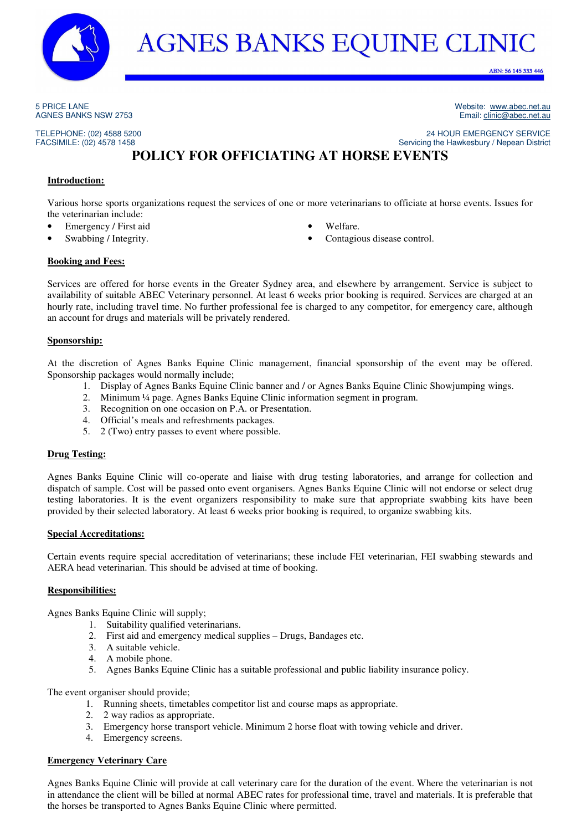

ABN: 56 145 333 446

5 PRICE LANE AGNES BANKS NSW 2753

TELEPHONE: (02) 4588 5200 FACSIMILE: (02) 4578 1458

Website: www.abec.net.au Email: clinic@abec.net.au

24 HOUR EMERGENCY SERVICE

Servicing the Hawkesbury / Nepean District **POLICY FOR OFFICIATING AT HORSE EVENTS** 

## **Introduction:**

Various horse sports organizations request the services of one or more veterinarians to officiate at horse events. Issues for the veterinarian include:

- Emergency / First aid
- Swabbing / Integrity.
- Welfare.
- Contagious disease control.

#### **Booking and Fees:**

Services are offered for horse events in the Greater Sydney area, and elsewhere by arrangement. Service is subject to availability of suitable ABEC Veterinary personnel. At least 6 weeks prior booking is required. Services are charged at an hourly rate, including travel time. No further professional fee is charged to any competitor, for emergency care, although an account for drugs and materials will be privately rendered.

### **Sponsorship:**

At the discretion of Agnes Banks Equine Clinic management, financial sponsorship of the event may be offered. Sponsorship packages would normally include;

- 1. Display of Agnes Banks Equine Clinic banner and / or Agnes Banks Equine Clinic Showjumping wings.
- 2. Minimum ¼ page. Agnes Banks Equine Clinic information segment in program.
- 3. Recognition on one occasion on P.A. or Presentation.
- 4. Official's meals and refreshments packages.
- 5. 2 (Two) entry passes to event where possible.

## **Drug Testing:**

Agnes Banks Equine Clinic will co-operate and liaise with drug testing laboratories, and arrange for collection and dispatch of sample. Cost will be passed onto event organisers. Agnes Banks Equine Clinic will not endorse or select drug testing laboratories. It is the event organizers responsibility to make sure that appropriate swabbing kits have been provided by their selected laboratory. At least 6 weeks prior booking is required, to organize swabbing kits.

#### **Special Accreditations:**

Certain events require special accreditation of veterinarians; these include FEI veterinarian, FEI swabbing stewards and AERA head veterinarian. This should be advised at time of booking.

#### **Responsibilities:**

Agnes Banks Equine Clinic will supply;

- 1. Suitability qualified veterinarians.
- 2. First aid and emergency medical supplies Drugs, Bandages etc.
- 3. A suitable vehicle.
- 4. A mobile phone.
- 5. Agnes Banks Equine Clinic has a suitable professional and public liability insurance policy.

The event organiser should provide;

- 1. Running sheets, timetables competitor list and course maps as appropriate.
- 2. 2 way radios as appropriate.
- 3. Emergency horse transport vehicle. Minimum 2 horse float with towing vehicle and driver.
- 4. Emergency screens.

## **Emergency Veterinary Care**

Agnes Banks Equine Clinic will provide at call veterinary care for the duration of the event. Where the veterinarian is not in attendance the client will be billed at normal ABEC rates for professional time, travel and materials. It is preferable that the horses be transported to Agnes Banks Equine Clinic where permitted.